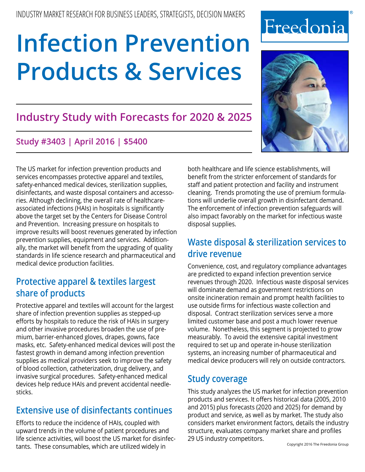# **[Infection Prevention](http://www.freedoniagroup.com/DocumentDetails.aspx?ReferrerId=FM-Bro&studyid=3403)  [Products & Services](http://www.freedoniagroup.com/DocumentDetails.aspx?ReferrerId=FM-Bro&studyid=3403)**

# **Industry Study with Forecasts for 2020 & 2025**

# **Study #3403 | April 2016 | \$5400**

The US market for infection prevention products and services encompasses protective apparel and textiles, safety-enhanced medical devices, sterilization supplies, disinfectants, and waste disposal containers and accessories. Although declining, the overall rate of healthcareassociated infections (HAIs) in hospitals is significantly above the target set by the Centers for Disease Control and Prevention. Increasing pressure on hospitals to improve results will boost revenues generated by infection prevention supplies, equipment and services. Additionally, the market will benefit from the upgrading of quality standards in life science research and pharmaceutical and medical device production facilities.

# **Protective apparel & textiles largest share of products**

Protective apparel and textiles will account for the largest share of infection prevention supplies as stepped-up efforts by hospitals to reduce the risk of HAIs in surgery and other invasive procedures broaden the use of premium, barrier-enhanced gloves, drapes, gowns, face masks, etc. Safety-enhanced medical devices will post the fastest growth in demand among infection prevention supplies as medical providers seek to improve the safety of blood collection, catheterization, drug delivery, and invasive surgical procedures. Safety-enhanced medical devices help reduce HAIs and prevent accidental needlesticks.

# **Extensive use of disinfectants continues**

Efforts to reduce the incidence of HAIs, coupled with upward trends in the volume of patient procedures and life science activities, will boost the US market for disinfectants. These consumables, which are utilized widely in

both healthcare and life science establishments, will benefit from the stricter enforcement of standards for staff and patient protection and facility and instrument cleaning. Trends promoting the use of premium formulations will underlie overall growth in disinfectant demand. The enforcement of infection prevention safeguards will also impact favorably on the market for infectious waste disposal supplies.

# **Waste disposal & sterilization services to drive revenue**

Convenience, cost, and regulatory compliance advantages are predicted to expand infection prevention service revenues through 2020. Infectious waste disposal services will dominate demand as government restrictions on onsite incineration remain and prompt health facilities to use outside firms for infectious waste collection and disposal. Contract sterilization services serve a more limited customer base and post a much lower revenue volume. Nonetheless, this segment is projected to grow measurably. To avoid the extensive capital investment required to set up and operate in-house sterilization systems, an increasing number of pharmaceutical and medical device producers will rely on outside contractors.

# **Study coverage**

This study analyzes the US market for infection prevention products and services. It offers historical data (2005, 2010 and 2015) plus forecasts (2020 and 2025) for demand by product and service, as well as by market. The study also considers market environment factors, details the industry structure, evaluates company market share and profiles 29 US industry competitors.

# Freedonia

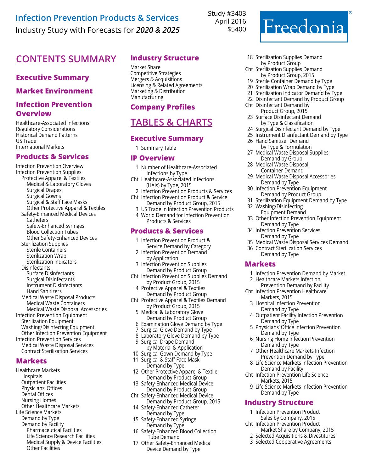# **[Infection Prevention Products & Services](http://www.freedoniagroup.com/DocumentDetails.aspx?ReferrerId=FM-Bro&studyid=3403)** Industry Study with Forecasts for *2020 & 2025*

Study #3403 April 2016 \$5400

# **Contents Summary Industry Structure**

### **Executive Summary**

### **Market Environment**

### **Infection Prevention Overview**

Healthcare-Associated Infections Regulatory Considerations Historical Demand Patterns US Trade International Markets

### **Products & Services**

Infection Prevention Overview Infection Prevention Supplies Protective Apparel & Textiles Medical & Laboratory Gloves Surgical Drapes Surgical Gowns Surgical & Staff Face Masks Other Protective Apparel & Textiles Safety-Enhanced Medical Devices **Catheters**  Safety-Enhanced Syringes Blood Collection Tubes Other Safety-Enhanced Devices Sterilization Supplies Sterile Containers Sterilization Wrap Sterilization Indicators Disinfectants Surface Disinfectants Surgical Disinfectants Instrument Disinfectants Hand Sanitizers Medical Waste Disposal Products Medical Waste Containers Medical Waste Disposal Accessories Infection Prevention Equipment Sterilization Equipment Washing/Disinfecting Equipment Other Infection Prevention Equipment Infection Prevention Services Medical Waste Disposal Services Contract Sterilization Services

### **Markets**

Healthcare Markets Hospitals Outpatient Facilities Physicians' Offices Dental Offices Nursing Homes Other Healthcare Markets Life Science Markets Demand by Type Demand by Facility Pharmaceutical Facilities Life Science Research Facilities Medical Supply & Device Facilities Other Facilities

Market Share Competitive Strategies Mergers & Acquisitions Licensing & Related Agreements Marketing & Distribution Manufacturing

### **Company Profiles**

# **Tables & Charts**

### **Executive Summary**

1 Summary Table

### **IP Overview**

- 1 Number of Healthcare-Associated Infections by Type
- Cht Healthcare-Associated Infections (HAIs) by Type, 2015
- 2 Infection Prevention Products & Services Cht Infection Prevention Product & Service
- Demand by Product Group, 2015 3 US Trade in Infection Prevention Products
- 4 World Demand for Infection Prevention
- Products & Services

### **Products & Services**

- 1 Infection Prevention Product & Service Demand by Category
- 2 Infection Prevention Demand
- by Application
- 3 Infection Prevention Supplies Demand by Product Group
- Cht Infection Prevention Supplies Demand by Product Group, 2015
- 4 Protective Apparel & Textiles Demand by Product Group
- Cht Protective Apparel & Textiles Demand by Product Group, 2015
	- 5 Medical & Laboratory Glove Demand by Product Group
	- 6 Examination Glove Demand by Type
	- 7 Surgical Glove Demand by Type
	- 8 Laboratory Glove Demand by Type 9 Surgical Drape Demand
- by Material & Application
- 10 Surgical Gown Demand by Type 11 Surgical & Staff Face Mask
- Demand by Type 12 Other Protective Apparel & Textile
- Demand by Product Group 13 Safety-Enhanced Medical Device Demand by Product Group
- Cht Safety-Enhanced Medical Device
- Demand by Product Group, 2015 14 Safety-Enhanced Catheter
- Demand by Type 15 Safety-Enhanced Syringe Demand by Type
- 16 Safety-Enhanced Blood Collection Tube Demand
- 17 Other Safety-Enhanced Medical Device Demand by Type
- 18 Sterilization Supplies Demand by Product Group
- Cht Sterilization Supplies Demand by Product Group, 2015
- 19 Sterile Container Demand by Type
- 20 Sterilization Wrap Demand by Type
- 21 Sterilization Indicator Demand by Type
- 22 Disinfectant Demand by Product Group Cht Disinfectant Demand by
- Product Group, 2015 23 Surface Disinfectant Demand
- by Type & Classification
- 24 Surgical Disinfectant Demand by Type
- 25 Instrument Disinfectant Demand by Type
- 26 Hand Sanitizer Demand by Type & Formulation
- 27 Medical Waste Disposal Supplies Demand by Group
- 28 Medical Waste Disposal Container Demand
- 29 Medical Waste Disposal Accessories Demand by Type
- 30 Infection Prevention Equipment Demand by Product Group
- 31 Sterilization Equipment Demand by Type
- 32 Washing/Disinfecting Equipment Demand
- 33 Other Infection Prevention Equipment Demand by Type
- 34 Infection Prevention Services Demand by Type
- 35 Medical Waste Disposal Services Demand
- 36 Contract Sterilization Services Demand by Type

### **Markets**

- 1 Infection Prevention Demand by Market
- 2 Healthcare Markets Infection
- Prevention Demand by Facility Cht Infection Prevention Healthcare
	- Markets, 2015 3 Hospital Infection Prevention
	- Demand by Type 4 Outpatient Facility Infection Prevention
	- Demand by Type 5 Physicians' Office Infection Prevention Demand by Type
	- 6 Nursing Home Infection Prevention Demand by Type
	- 7 Other Healthcare Markets Infection Prevention Demand by Type
- 8 Life Science Markets Infection Prevention Demand by Facility
- Cht Infection Prevention Life Science Markets, 2015
	- 9 Life Science Markets Infection Prevention Demand by Type

### **Industry Structure**

- 1 Infection Prevention Product
	- Sales by Company, 2015 Cht Infection Prevention Product
	- Market Share by Company, 2015 2 Selected Acquisitions & Divestitures
	- 3 Selected Cooperative Agreements
- 

Freedonia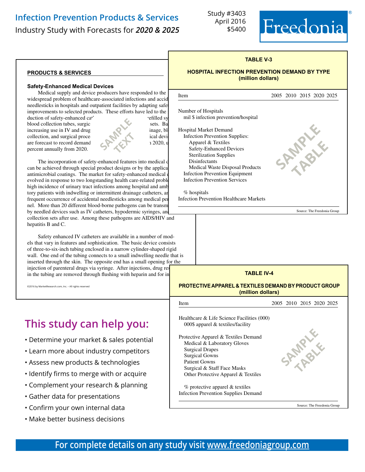# **[Infection Prevention Products & Services](http://www.freedoniagroup.com/DocumentDetails.aspx?ReferrerId=FM-Bro&studyid=3403)**

Industry Study with Forecasts for *2020 & 2025* \$5400

Study #3403 April 2016



2005 2010 2015 2020 2025

**SAMPLE** 

**table** 

Source: The Freedonia Group

### **TABLE V-3**

### **HOSPITAL INFECTION PREVENTION DEMAND BY TYPE (million dollars)**

### **products & services**

### **Safety-Enhanced Medical Devices**

Medical supply and device producers have responded to the widespread problem of healthcare-associated infections and accidental  $\frac{\text{Item}}{\text{Item}}$ needlesticks in hospitals and outpatient facilities by adapting safet improvements to selected products. These efforts have led to the i duction of safety-enhanced cat' refilled sy

blood collection tubes, surgical scales sets. Based on IV sets. Based on IV sets. Based on IV sets. Based on IV sets. Based on IV sets. Based on IV sets. Based on IV sets. Based on IV sets. Based on IV sets. Based on IV se  $i$  increasing use in IV and drug administration, use  $i$  and  $j$  and  $k$  $\Box$ collection, and surgical procedures, safety enhanced medical devices are forecast to record demand  $\sim$  1.2020, u percent annually from 2020.



֦

Number of Hospitals

% hospitals

Hospital Market Demand

mil \$ infection prevention/hospital

 Medical Waste Disposal Products Infection Prevention Equipment Infection Prevention Services

Infection Prevention Healthcare Markets

Infection Prevention Supplies: Apparel & Textiles Safety-Enhanced Devices Sterilization Supplies Disinfectants

The incorporation of safety-enhanced features into medical d can be achieved through special product designs or by the application antimicrobial coatings. The market for safety-enhanced medical or evolved in response to two longstanding health care-related proble high incidence of urinary tract infections among hospital and amb tory patients with indwelling or intermittent drainage catheters, an frequent occurrence of accidental needlesticks among medical per nel. More than 20 different blood-borne pathogens can be transm by needled devices such as IV catheters, hypodermic syringes, and collection sets after use. Among these pathogens are AIDS/HIV and hepatitis B and C.

Safety enhanced IV catheters are available in a number of models that vary in features and sophistication. The basic device consists of three-to-six-inch tubing enclosed in a narrow cylinder-shaped rigid wall. One end of the tubing connects to a small indwelling needle that is inserted through the skin. The opposite end has a small opening for the injection of parenteral drugs via syringe. After injections, drug res in the tubing are removed through flushing with heparin and for in

©2016 by MarketResearch.com, Inc. – All rights reserved

# **This study can help you:**

- Determine your market & sales potential
- Learn more about industry competitors
- Assess new products & technologies
- Identify firms to merge with or acquire
- Complement your research & planning
- Gather data for presentations
- Confirm your own internal data
- Make better business decisions

| <b>TABLE IV-4</b>                                                                                                                                                                                             |                             |
|---------------------------------------------------------------------------------------------------------------------------------------------------------------------------------------------------------------|-----------------------------|
| <b>PROTECTIVE APPAREL &amp; TEXTILES DEMAND BY PRODUCT GROUP</b><br>(million dollars)                                                                                                                         |                             |
| <b>Item</b>                                                                                                                                                                                                   | 2005 2010 2015 2020 2025    |
| Healthcare & Life Science Facilities (000)<br>000\$ apparel $&$ textiles/facility                                                                                                                             |                             |
| Protective Apparel & Textiles Demand<br>Medical & Laboratory Gloves<br><b>Surgical Drapes</b><br><b>Surgical Gowns</b><br>Patient Gowns<br>Surgical & Staff Face Masks<br>Other Protective Apparel & Textiles | <b>ANIVER</b>               |
| $%$ protective apparel $&$ textiles<br><b>Infection Prevention Supplies Demand</b>                                                                                                                            |                             |
|                                                                                                                                                                                                               | Source: The Freedonia Group |

# **For complete details on any study visit [www.freedoniagroup.com](http://www.freedoniagroup.com/Home.aspx?ReferrerId=FM-BRO)**